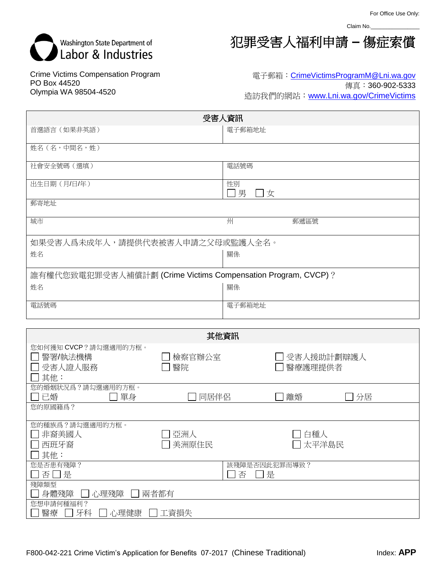Claim No.\_



Crime Victims Compensation Program PO Box 44520 Olympia WA 98504-4520

犯罪受害人福利申請 **–** 傷症索償

## 電子郵箱: [CrimeVictimsProgramM@Lni.wa.gov](mailto:CrimeVictimsProgramM@Lni.wa.gov) 傳真:360-902-5333 造訪我們的網站:[www.Lni.wa.gov/CrimeVictims](http://www.lni.wa.gov/CrimeVictims)

| 受害人資訊                                                               |                 |                         |  |  |  |
|---------------------------------------------------------------------|-----------------|-------------------------|--|--|--|
| 首選語言 (如果非英語)                                                        |                 | 電子郵箱地址                  |  |  |  |
| 姓名(名,中間名,姓)                                                         |                 |                         |  |  |  |
| 社會安全號碼 (選填)                                                         |                 | 電話號碼                    |  |  |  |
| 出生日期(月/日/年)                                                         |                 | 性別<br>]男<br>□女          |  |  |  |
| 郵寄地址                                                                |                 |                         |  |  |  |
| 城市                                                                  |                 | 州<br>郵遞區號               |  |  |  |
| 如果受害人爲未成年人,請提供代表被害人申請之父母或監護人全名。                                     |                 |                         |  |  |  |
| 姓名                                                                  |                 | 關係                      |  |  |  |
| 誰有權代您致電犯罪受害人補償計劃 (Crime Victims Compensation Program, CVCP) ?       |                 |                         |  |  |  |
| 姓名                                                                  |                 | 關係                      |  |  |  |
| 電話號碼                                                                |                 | 電子郵箱地址                  |  |  |  |
|                                                                     |                 |                         |  |  |  |
|                                                                     |                 | 其他資訊                    |  |  |  |
| 您如何獲知 CVCP?請勾選適用的方框。<br>警署/執法機構<br>$\mathbf{I}$<br>□ 受害人證人服務<br>其他: | 檢察官辦公室<br>醫院    | 受害人援助計劃辯護人<br>醫療護理提供者   |  |  |  |
| 您的婚姻狀況爲?請勾選適用的方框。<br>□已婚<br>單身                                      | 同居伴侶            | 離婚<br>分居                |  |  |  |
| 您的原國籍爲?                                                             |                 |                         |  |  |  |
| 您的種族爲?請勾選適用的方框。<br>□ 非裔美國人<br>西班牙裔<br>其他:                           | ]亞洲人<br>□ 美洲原住民 | ]白種人<br>□ 太平洋島民         |  |  |  |
| 您是否患有殘障?<br>否□是                                                     |                 | 該殘障是否因此犯罪而導致?<br>否<br>是 |  |  |  |
| 殘障類型<br>□ 身體殘障<br>□ 心理殘障                                            | 兩者都有            |                         |  |  |  |
| 您想申請何種福利?<br>醫療 □ 牙科 □ 心理健康 □ 工資損失                                  |                 |                         |  |  |  |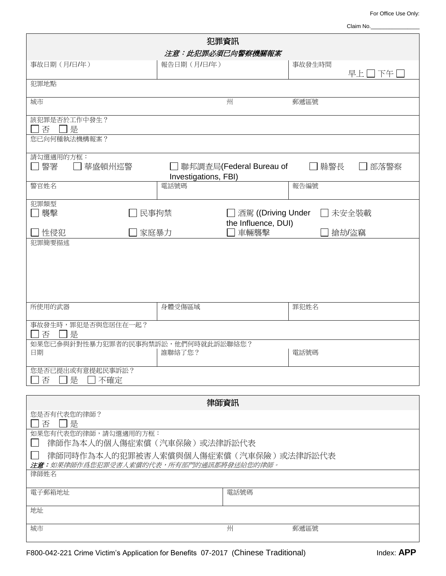For Office Use Only:

| Claim No. |  |  |  |
|-----------|--|--|--|
|           |  |  |  |
|           |  |  |  |

| 犯罪資訊                                                                                           |                      |                                             |         |        |  |  |  |
|------------------------------------------------------------------------------------------------|----------------------|---------------------------------------------|---------|--------|--|--|--|
| 注意:此犯罪必須已向警察機關報案                                                                               |                      |                                             |         |        |  |  |  |
| 事故日期(月/日/年)                                                                                    | 報告日期(月/日/年)          |                                             | 事故發生時間  | 早上□下午□ |  |  |  |
| 犯罪地點                                                                                           |                      |                                             |         |        |  |  |  |
| 城市                                                                                             |                      | 州                                           | 郵遞區號    |        |  |  |  |
| 該犯罪是否於工作中發生?<br>否<br>□是                                                                        |                      |                                             |         |        |  |  |  |
| 您已向何種執法機構報案?                                                                                   |                      |                                             |         |        |  |  |  |
| 請勾選適用的方框:<br>□警署<br>華盛頓州巡警                                                                     | Investigations, FBI) | ]聯邦調查局(Federal Bureau of                    | 縣警長     | 部落警察   |  |  |  |
| 警官姓名                                                                                           | 電話號碼                 |                                             | 報告編號    |        |  |  |  |
| 犯罪類型<br>コ襲撃<br>民事拘禁                                                                            |                      | □ 酒駕 ((Driving Under<br>the Influence, DUI) | □ 未安全裝載 |        |  |  |  |
| 性侵犯<br>家庭暴力<br>犯罪簡要描述                                                                          |                      | 車輛襲擊                                        | 搶劫/盜竊   |        |  |  |  |
|                                                                                                |                      |                                             |         |        |  |  |  |
| 所使用的武器                                                                                         | 身體受傷區域               |                                             | 罪犯姓名    |        |  |  |  |
| 事故發生時,罪犯是否與您居住在一起?<br>否<br> 是                                                                  |                      |                                             |         |        |  |  |  |
| 如果您已参與針對性暴力犯罪者的民事拘禁訴訟,他們何時就此訴訟聯絡您?<br>日期                                                       | 誰聯絡了您?               |                                             | 電話號碼    |        |  |  |  |
| 您是否已提出或有意提起民事訴訟?<br>是<br>不確定<br>否                                                              |                      |                                             |         |        |  |  |  |
| 律師資訊                                                                                           |                      |                                             |         |        |  |  |  |
| 您是否有代表您的律師?<br>□是<br>否                                                                         |                      |                                             |         |        |  |  |  |
| 如果您有代表您的律師,請勾選適用的方框:<br>律師作為本人的個人傷症索償(汽車保險)或法律訴訟代表                                             |                      |                                             |         |        |  |  |  |
| 律師同時作為本人的犯罪被害人索償與個人傷症索償(汽車保險)或法律訴訟代表<br><b>注意:</b> 如果律師作爲您犯罪受害人索償的代表,所有部門的通訊都將發送給您的律師。<br>律師姓名 |                      |                                             |         |        |  |  |  |
| 電話號碼<br>電子郵箱地址                                                                                 |                      |                                             |         |        |  |  |  |
| 地址                                                                                             |                      |                                             |         |        |  |  |  |
|                                                                                                |                      |                                             |         |        |  |  |  |
| 城市                                                                                             |                      | 州                                           | 郵遞區號    |        |  |  |  |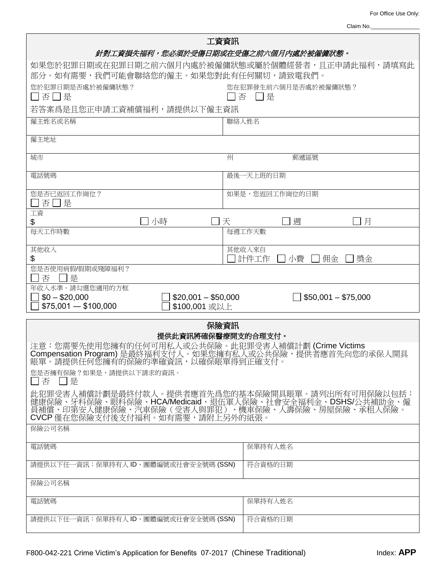For Office Use Only:

| Claim No. |  |  |  |  |
|-----------|--|--|--|--|
|           |  |  |  |  |

| 工資資訊                                                                                                                                                                                               |                                   |  |  |  |  |
|----------------------------------------------------------------------------------------------------------------------------------------------------------------------------------------------------|-----------------------------------|--|--|--|--|
| 針對工資損失福利,您必須於受傷日期或在受傷之前六個月內處於被僱傭狀態。                                                                                                                                                                |                                   |  |  |  |  |
| 如果您於犯罪日期或在犯罪日期之前六個月內處於被僱傭狀態或屬於個體經營者,且正申請此福利,請填寫此<br>部分。如有需要,我們可能會聯絡您的僱主。如果您對此有任何關切,請致電我們。                                                                                                          |                                   |  |  |  |  |
| 您於犯罪日期是否處於被僱傭狀態?<br>您在犯罪發生前六個月是否處於被僱傭狀態?<br>□否□是<br>否 口是                                                                                                                                           |                                   |  |  |  |  |
| 若答案爲是且您正申請工資補償福利,請提供以下僱主資訊                                                                                                                                                                         |                                   |  |  |  |  |
| 僱主姓名或名稱                                                                                                                                                                                            | 聯絡人姓名                             |  |  |  |  |
| 僱主地址                                                                                                                                                                                               |                                   |  |  |  |  |
| 城市                                                                                                                                                                                                 | 州<br>郵遞區號                         |  |  |  |  |
| 電話號碼                                                                                                                                                                                               | 最後一天上班的日期                         |  |  |  |  |
| 您是否已返回工作崗位?<br>否□是                                                                                                                                                                                 | 如果是,您返回工作崗位的日期                    |  |  |  |  |
| 工資<br>小時<br>\$                                                                                                                                                                                     | 天<br>週<br>月                       |  |  |  |  |
| 每天工作時數                                                                                                                                                                                             | 每週工作天數                            |  |  |  |  |
| 其他收入<br>\$                                                                                                                                                                                         | 其他收入來自<br>計件工作<br>□小費<br>佣金<br>獎金 |  |  |  |  |
| 您是否使用病假/假期或殘障福利?<br>否<br>□是                                                                                                                                                                        |                                   |  |  |  |  |
|                                                                                                                                                                                                    |                                   |  |  |  |  |
| 年收入水準。請勾選您適用的方框<br>$$20,001 - $50,000$<br>$$0 - $20,000$<br>$$75,001 - $100,000$<br>\$100,001 或以上                                                                                                  | $$50,001 - $75,000$               |  |  |  |  |
|                                                                                                                                                                                                    |                                   |  |  |  |  |
|                                                                                                                                                                                                    | 保險資訊                              |  |  |  |  |
| 提供此資訊將確保醫療開支的合理支付。<br>注意:您需要先使用您擁有的任何可用私人或公共保險。此犯罪受害人補償計劃(Crime Victims<br>Compensation Program)是最終福利支付人。如果您擁有私人或公共保險,提供者應首先向您的承保人開具<br>賬單。請提供任何您擁有的保險的準確資訊,以確保賬單得到正確支付。                           |                                   |  |  |  |  |
| 您是否擁有保險?如果是,請提供以下請求的資訊。<br>口否 口是                                                                                                                                                                   |                                   |  |  |  |  |
| 此犯罪受害人補償計劃是最終付款人。提供者應首先爲您的基本保險開具賬單。請列出所有可用保險以包括:<br>健康保險、牙科保險、眼科保險、HCA/Medicaid、退伍軍人保險、社會安全福利金、DSHS/公共補助金、僱<br>員補償、印第安人健康保險、汽車保險(受害人與罪犯)、機車保險、人壽保險、房屋保險、承租人保險。<br>CVCP 僅在您保險支付後支付福利。如有需要,請附上另外的紙張。 |                                   |  |  |  |  |
| 保險公司名稱                                                                                                                                                                                             |                                   |  |  |  |  |
| 電話號碼                                                                                                                                                                                               | 保單持有人姓名                           |  |  |  |  |
| 請提供以下任一資訊:保單持有人 ID、團體編號或社會安全號碼 (SSN)                                                                                                                                                               | 符合資格的日期                           |  |  |  |  |
| 保險公司名稱                                                                                                                                                                                             |                                   |  |  |  |  |
| 電話號碼                                                                                                                                                                                               | 保單持有人姓名                           |  |  |  |  |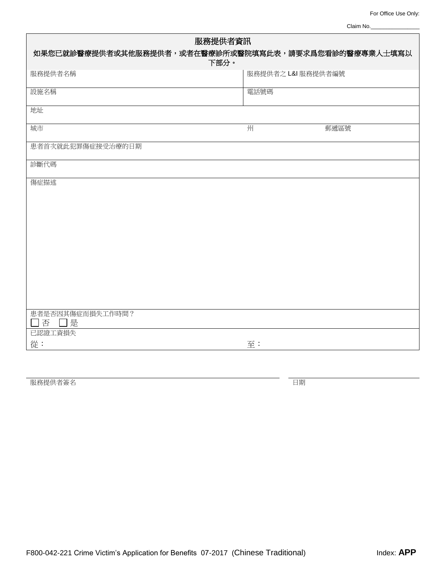Claim No.

| 服務提供者資訊<br>如果您已就診醫療提供者或其他服務提供者,或者在醫療診所或醫院填寫此表,請要求爲您看診的醫療專業人士填寫以 |                    |      |  |  |  |  |
|-----------------------------------------------------------------|--------------------|------|--|--|--|--|
| 下部分。                                                            |                    |      |  |  |  |  |
| 服務提供者名稱                                                         | 服務提供者之 L&I 服務提供者編號 |      |  |  |  |  |
| 設施名稱                                                            | 電話號碼               |      |  |  |  |  |
| 地址                                                              |                    |      |  |  |  |  |
| 城市                                                              | 州                  | 郵遞區號 |  |  |  |  |
| 患者首次就此犯罪傷症接受治療的日期                                               |                    |      |  |  |  |  |
| 診斷代碼                                                            |                    |      |  |  |  |  |
| 傷症描述                                                            |                    |      |  |  |  |  |
|                                                                 |                    |      |  |  |  |  |
|                                                                 |                    |      |  |  |  |  |
|                                                                 |                    |      |  |  |  |  |
|                                                                 |                    |      |  |  |  |  |
|                                                                 |                    |      |  |  |  |  |
|                                                                 |                    |      |  |  |  |  |
|                                                                 |                    |      |  |  |  |  |
|                                                                 |                    |      |  |  |  |  |
|                                                                 |                    |      |  |  |  |  |
| 患者是否因其傷症而損失工作時間?<br>否<br>是                                      |                    |      |  |  |  |  |
| 已認證工資損失                                                         |                    |      |  |  |  |  |
| 從:                                                              | 至:                 |      |  |  |  |  |

**服務提供者簽名 日期 こころ こころ こころ こころ こころ こころ こころ 日期**